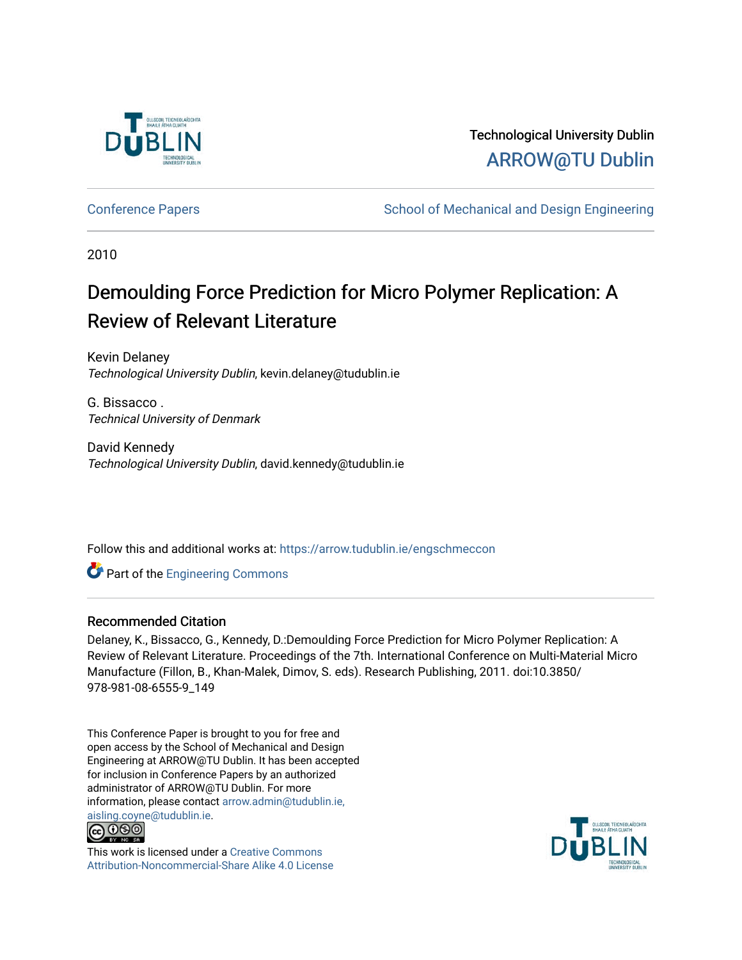

# Technological University Dublin [ARROW@TU Dublin](https://arrow.tudublin.ie/)

[Conference Papers](https://arrow.tudublin.ie/engschmeccon) **School of Mechanical and Design Engineering** School of Mechanical and Design Engineering

2010

# Demoulding Force Prediction for Micro Polymer Replication: A Review of Relevant Literature

Kevin Delaney Technological University Dublin, kevin.delaney@tudublin.ie

G. Bissacco . Technical University of Denmark

David Kennedy Technological University Dublin, david.kennedy@tudublin.ie

Follow this and additional works at: [https://arrow.tudublin.ie/engschmeccon](https://arrow.tudublin.ie/engschmeccon?utm_source=arrow.tudublin.ie%2Fengschmeccon%2F45&utm_medium=PDF&utm_campaign=PDFCoverPages) 

**C** Part of the [Engineering Commons](http://network.bepress.com/hgg/discipline/217?utm_source=arrow.tudublin.ie%2Fengschmeccon%2F45&utm_medium=PDF&utm_campaign=PDFCoverPages)

### Recommended Citation

Delaney, K., Bissacco, G., Kennedy, D.:Demoulding Force Prediction for Micro Polymer Replication: A Review of Relevant Literature. Proceedings of the 7th. International Conference on Multi-Material Micro Manufacture (Fillon, B., Khan-Malek, Dimov, S. eds). Research Publishing, 2011. doi:10.3850/ 978-981-08-6555-9\_149

This Conference Paper is brought to you for free and open access by the School of Mechanical and Design Engineering at ARROW@TU Dublin. It has been accepted for inclusion in Conference Papers by an authorized administrator of ARROW@TU Dublin. For more information, please contact [arrow.admin@tudublin.ie,](mailto:arrow.admin@tudublin.ie,%20aisling.coyne@tudublin.ie)  [aisling.coyne@tudublin.ie.](mailto:arrow.admin@tudublin.ie,%20aisling.coyne@tudublin.ie)<br>© 090



This work is licensed under a [Creative Commons](http://creativecommons.org/licenses/by-nc-sa/4.0/) [Attribution-Noncommercial-Share Alike 4.0 License](http://creativecommons.org/licenses/by-nc-sa/4.0/)

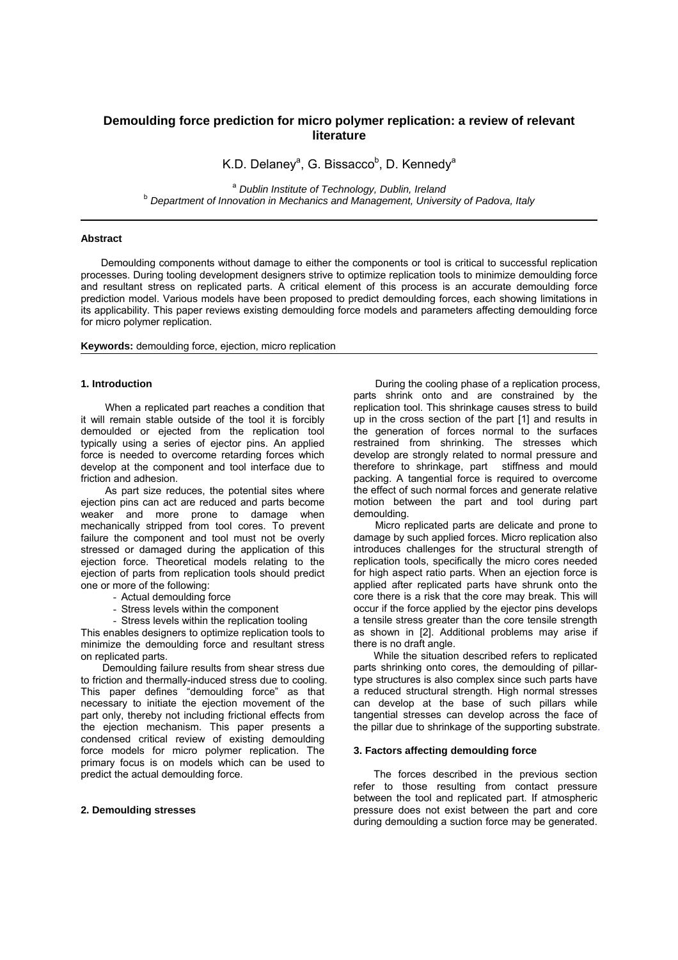## **Demoulding force prediction for micro polymer replication: a review of relevant literature**

K.D. Delaney<sup>a</sup>, G. Bissacco<sup>b</sup>, D. Kennedy<sup>a</sup>

<sup>a</sup> *Dublin Institute of Technology, Dublin, Ireland* <sup>b</sup> *Department of Innovation in Mechanics and Management, University of Padova, Italy*

#### **Abstract**

 Demoulding components without damage to either the components or tool is critical to successful replication processes. During tooling development designers strive to optimize replication tools to minimize demoulding force and resultant stress on replicated parts. A critical element of this process is an accurate demoulding force prediction model. Various models have been proposed to predict demoulding forces, each showing limitations in its applicability. This paper reviews existing demoulding force models and parameters affecting demoulding force for micro polymer replication.

**Keywords:** demoulding force, ejection, micro replication

#### **1. Introduction**

When a replicated part reaches a condition that it will remain stable outside of the tool it is forcibly demoulded or ejected from the replication tool typically using a series of ejector pins. An applied force is needed to overcome retarding forces which develop at the component and tool interface due to friction and adhesion.

As part size reduces, the potential sites where ejection pins can act are reduced and parts become weaker and more prone to damage when mechanically stripped from tool cores. To prevent failure the component and tool must not be overly stressed or damaged during the application of this ejection force. Theoretical models relating to the ejection of parts from replication tools should predict one or more of the following:

- Actual demoulding force
- Stress levels within the component
- Stress levels within the replication tooling

This enables designers to optimize replication tools to minimize the demoulding force and resultant stress on replicated parts.

Demoulding failure results from shear stress due to friction and thermally-induced stress due to cooling. This paper defines "demoulding force" as that necessary to initiate the ejection movement of the part only, thereby not including frictional effects from the ejection mechanism. This paper presents a condensed critical review of existing demoulding force models for micro polymer replication. The primary focus is on models which can be used to predict the actual demoulding force.

#### **2. Demoulding stresses**

During the cooling phase of a replication process, parts shrink onto and are constrained by the replication tool. This shrinkage causes stress to build up in the cross section of the part [1] and results in the generation of forces normal to the surfaces restrained from shrinking. The stresses which develop are strongly related to normal pressure and therefore to shrinkage, part stiffness and mould packing. A tangential force is required to overcome the effect of such normal forces and generate relative motion between the part and tool during part demoulding.

Micro replicated parts are delicate and prone to damage by such applied forces. Micro replication also introduces challenges for the structural strength of replication tools, specifically the micro cores needed for high aspect ratio parts. When an ejection force is applied after replicated parts have shrunk onto the core there is a risk that the core may break. This will occur if the force applied by the ejector pins develops a tensile stress greater than the core tensile strength as shown in [2]. Additional problems may arise if there is no draft angle.

 While the situation described refers to replicated parts shrinking onto cores, the demoulding of pillartype structures is also complex since such parts have a reduced structural strength. High normal stresses can develop at the base of such pillars while tangential stresses can develop across the face of the pillar due to shrinkage of the supporting substrate.

#### **3. Factors affecting demoulding force**

 The forces described in the previous section refer to those resulting from contact pressure between the tool and replicated part. If atmospheric pressure does not exist between the part and core during demoulding a suction force may be generated.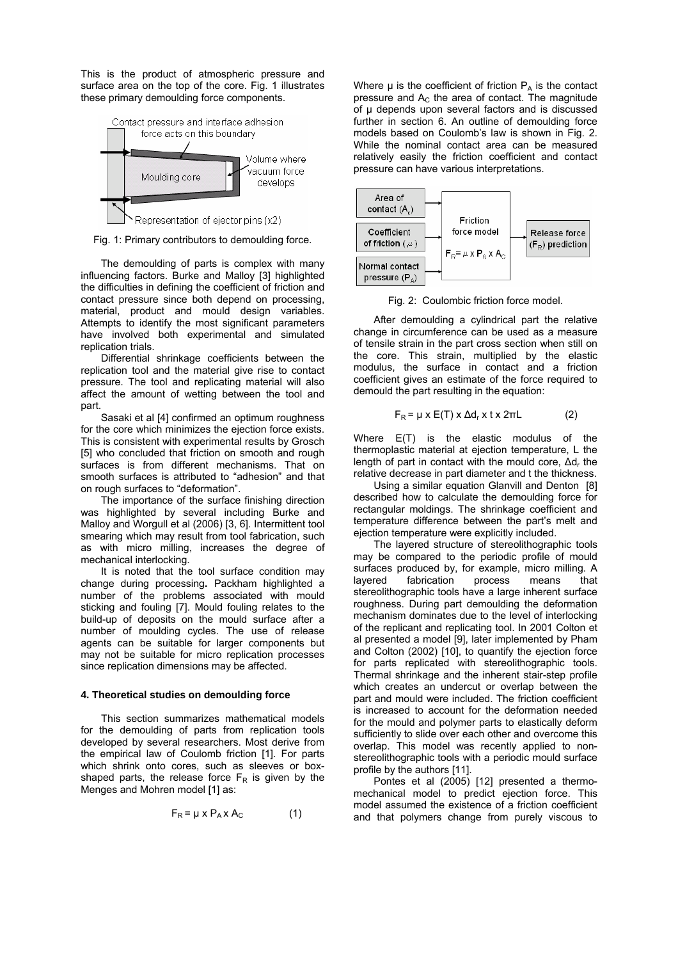This is the product of atmospheric pressure and surface area on the top of the core. Fig. 1 illustrates these primary demoulding force components.



Fig. 1: Primary contributors to demoulding force.

 The demoulding of parts is complex with many influencing factors. Burke and Malloy [3] highlighted the difficulties in defining the coefficient of friction and contact pressure since both depend on processing, material, product and mould design variables. Attempts to identify the most significant parameters have involved both experimental and simulated replication trials.

Differential shrinkage coefficients between the replication tool and the material give rise to contact pressure. The tool and replicating material will also affect the amount of wetting between the tool and part.

 Sasaki et al [4] confirmed an optimum roughness for the core which minimizes the ejection force exists. This is consistent with experimental results by Grosch [5] who concluded that friction on smooth and rough surfaces is from different mechanisms. That on smooth surfaces is attributed to "adhesion" and that on rough surfaces to "deformation".

 The importance of the surface finishing direction was highlighted by several including Burke and Malloy and Worgull et al (2006) [3, 6]. Intermittent tool smearing which may result from tool fabrication, such as with micro milling, increases the degree of mechanical interlocking.

 It is noted that the tool surface condition may change during processing**.** Packham highlighted a number of the problems associated with mould sticking and fouling [7]. Mould fouling relates to the build-up of deposits on the mould surface after a number of moulding cycles. The use of release agents can be suitable for larger components but may not be suitable for micro replication processes since replication dimensions may be affected.

#### **4. Theoretical studies on demoulding force**

This section summarizes mathematical models for the demoulding of parts from replication tools developed by several researchers. Most derive from the empirical law of Coulomb friction [1]. For parts which shrink onto cores, such as sleeves or boxshaped parts, the release force  $F_R$  is given by the Menges and Mohren model [1] as:

$$
F_R = \mu \times P_A \times A_C \tag{1}
$$

Where  $\mu$  is the coefficient of friction  $P_A$  is the contact pressure and  $A<sub>C</sub>$  the area of contact. The magnitude of μ depends upon several factors and is discussed further in section 6. An outline of demoulding force models based on Coulomb's law is shown in Fig. 2. While the nominal contact area can be measured relatively easily the friction coefficient and contact pressure can have various interpretations.



Fig. 2: Coulombic friction force model.

 After demoulding a cylindrical part the relative change in circumference can be used as a measure of tensile strain in the part cross section when still on the core. This strain, multiplied by the elastic modulus, the surface in contact and a friction coefficient gives an estimate of the force required to demould the part resulting in the equation:

$$
F_R = \mu \times E(T) \times \Delta d_r \times t \times 2\pi L \tag{2}
$$

Where E(T) is the elastic modulus of the thermoplastic material at ejection temperature, L the length of part in contact with the mould core,  $\Delta d_r$  the relative decrease in part diameter and t the thickness.

 Using a similar equation Glanvill and Denton [8] described how to calculate the demoulding force for rectangular moldings. The shrinkage coefficient and temperature difference between the part's melt and ejection temperature were explicitly included.

 The layered structure of stereolithographic tools may be compared to the periodic profile of mould surfaces produced by, for example, micro milling. A layered fabrication process means that stereolithographic tools have a large inherent surface roughness. During part demoulding the deformation mechanism dominates due to the level of interlocking of the replicant and replicating tool. In 2001 Colton et al presented a model [9], later implemented by Pham and Colton (2002) [10], to quantify the ejection force for parts replicated with stereolithographic tools. Thermal shrinkage and the inherent stair-step profile which creates an undercut or overlap between the part and mould were included. The friction coefficient is increased to account for the deformation needed for the mould and polymer parts to elastically deform sufficiently to slide over each other and overcome this overlap. This model was recently applied to nonstereolithographic tools with a periodic mould surface profile by the authors [11].

 Pontes et al (2005) [12] presented a thermomechanical model to predict ejection force. This model assumed the existence of a friction coefficient and that polymers change from purely viscous to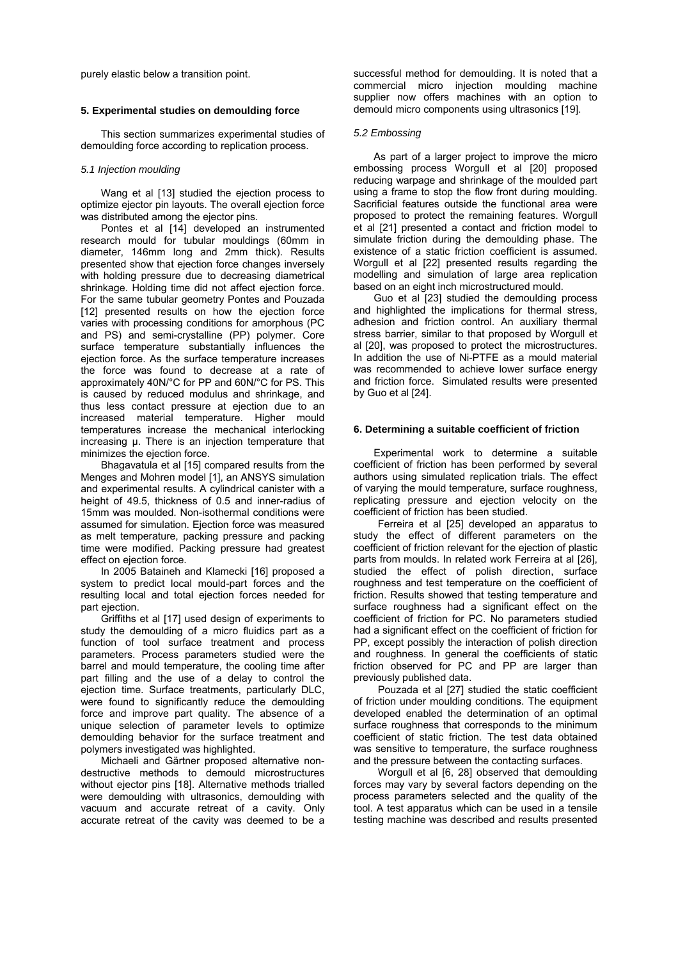purely elastic below a transition point.

#### **5. Experimental studies on demoulding force**

 This section summarizes experimental studies of demoulding force according to replication process.

#### *5.1 Injection moulding*

Wang et al [13] studied the ejection process to optimize ejector pin layouts. The overall ejection force was distributed among the ejector pins.

 Pontes et al [14] developed an instrumented research mould for tubular mouldings (60mm in diameter, 146mm long and 2mm thick). Results presented show that ejection force changes inversely with holding pressure due to decreasing diametrical shrinkage. Holding time did not affect ejection force. For the same tubular geometry Pontes and Pouzada [12] presented results on how the ejection force varies with processing conditions for amorphous (PC and PS) and semi-crystalline (PP) polymer. Core surface temperature substantially influences the ejection force. As the surface temperature increases the force was found to decrease at a rate of approximately 40N/°C for PP and 60N/°C for PS. This is caused by reduced modulus and shrinkage, and thus less contact pressure at ejection due to an increased material temperature. Higher mould temperatures increase the mechanical interlocking increasing μ. There is an injection temperature that minimizes the ejection force.

 Bhagavatula et al [15] compared results from the Menges and Mohren model [1], an ANSYS simulation and experimental results. A cylindrical canister with a height of 49.5, thickness of 0.5 and inner-radius of 15mm was moulded. Non-isothermal conditions were assumed for simulation. Ejection force was measured as melt temperature, packing pressure and packing time were modified. Packing pressure had greatest effect on ejection force.

 In 2005 Bataineh and Klamecki [16] proposed a system to predict local mould-part forces and the resulting local and total ejection forces needed for part ejection.

 Griffiths et al [17] used design of experiments to study the demoulding of a micro fluidics part as a function of tool surface treatment and process parameters. Process parameters studied were the barrel and mould temperature, the cooling time after part filling and the use of a delay to control the ejection time. Surface treatments, particularly DLC, were found to significantly reduce the demoulding force and improve part quality. The absence of a unique selection of parameter levels to optimize demoulding behavior for the surface treatment and polymers investigated was highlighted.

 Michaeli and Gärtner proposed alternative nondestructive methods to demould microstructures without ejector pins [18]. Alternative methods trialled were demoulding with ultrasonics, demoulding with vacuum and accurate retreat of a cavity. Only accurate retreat of the cavity was deemed to be a successful method for demoulding. It is noted that a commercial micro injection moulding machine supplier now offers machines with an option to demould micro components using ultrasonics [19].

#### *5.2 Embossing*

 As part of a larger project to improve the micro embossing process Worgull et al [20] proposed reducing warpage and shrinkage of the moulded part using a frame to stop the flow front during moulding. Sacrificial features outside the functional area were proposed to protect the remaining features. Worgull et al [21] presented a contact and friction model to simulate friction during the demoulding phase. The existence of a static friction coefficient is assumed. Worgull et al [22] presented results regarding the modelling and simulation of large area replication based on an eight inch microstructured mould.

 Guo et al [23] studied the demoulding process and highlighted the implications for thermal stress, adhesion and friction control. An auxiliary thermal stress barrier, similar to that proposed by Worgull et al [20], was proposed to protect the microstructures. In addition the use of Ni-PTFE as a mould material was recommended to achieve lower surface energy and friction force. Simulated results were presented by Guo et al [24].

#### **6. Determining a suitable coefficient of friction**

 Experimental work to determine a suitable coefficient of friction has been performed by several authors using simulated replication trials. The effect of varying the mould temperature, surface roughness, replicating pressure and ejection velocity on the coefficient of friction has been studied.

Ferreira et al [25] developed an apparatus to study the effect of different parameters on the coefficient of friction relevant for the ejection of plastic parts from moulds. In related work Ferreira at al [26], studied the effect of polish direction, surface roughness and test temperature on the coefficient of friction. Results showed that testing temperature and surface roughness had a significant effect on the coefficient of friction for PC. No parameters studied had a significant effect on the coefficient of friction for PP, except possibly the interaction of polish direction and roughness. In general the coefficients of static friction observed for PC and PP are larger than previously published data.

Pouzada et al [27] studied the static coefficient of friction under moulding conditions. The equipment developed enabled the determination of an optimal surface roughness that corresponds to the minimum coefficient of static friction. The test data obtained was sensitive to temperature, the surface roughness and the pressure between the contacting surfaces.

Worgull et al [6, 28] observed that demoulding forces may vary by several factors depending on the process parameters selected and the quality of the tool. A test apparatus which can be used in a tensile testing machine was described and results presented